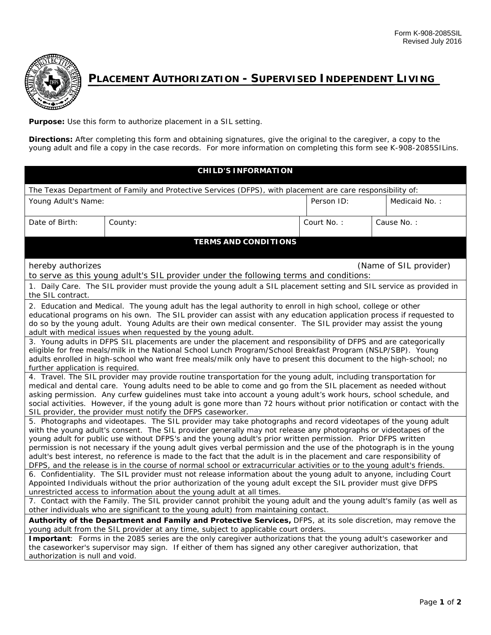

## **PLACEMENT AUTHORIZATION - SUPERVISED INDEPENDENT LIVING**

**Purpose:** Use this form to authorize placement in a SIL setting.

**Directions:** After completing this form and obtaining signatures, give the original to the caregiver, a copy to the young adult and file a copy in the case records. For more information on completing this form see K-908-2085SILins.

| <b>CHILD'S INFORMATION</b>                                                                                                                                                                                                                                                                                                                                                                                                                                                                                                                                                                                                                                                                                                                                                                                                                                                                                                                                                                                                                                                                                                                                                                                                                                     |                             |            |               |  |
|----------------------------------------------------------------------------------------------------------------------------------------------------------------------------------------------------------------------------------------------------------------------------------------------------------------------------------------------------------------------------------------------------------------------------------------------------------------------------------------------------------------------------------------------------------------------------------------------------------------------------------------------------------------------------------------------------------------------------------------------------------------------------------------------------------------------------------------------------------------------------------------------------------------------------------------------------------------------------------------------------------------------------------------------------------------------------------------------------------------------------------------------------------------------------------------------------------------------------------------------------------------|-----------------------------|------------|---------------|--|
| The Texas Department of Family and Protective Services (DFPS), with placement are care responsibility of:                                                                                                                                                                                                                                                                                                                                                                                                                                                                                                                                                                                                                                                                                                                                                                                                                                                                                                                                                                                                                                                                                                                                                      |                             |            |               |  |
| Young Adult's Name:                                                                                                                                                                                                                                                                                                                                                                                                                                                                                                                                                                                                                                                                                                                                                                                                                                                                                                                                                                                                                                                                                                                                                                                                                                            |                             | Person ID: | Medicaid No.: |  |
| Date of Birth:                                                                                                                                                                                                                                                                                                                                                                                                                                                                                                                                                                                                                                                                                                                                                                                                                                                                                                                                                                                                                                                                                                                                                                                                                                                 | County:                     | Court No.: | Cause No.:    |  |
|                                                                                                                                                                                                                                                                                                                                                                                                                                                                                                                                                                                                                                                                                                                                                                                                                                                                                                                                                                                                                                                                                                                                                                                                                                                                | <b>TERMS AND CONDITIONS</b> |            |               |  |
| hereby authorizes<br>(Name of SIL provider)<br>to serve as this young adult's SIL provider under the following terms and conditions:                                                                                                                                                                                                                                                                                                                                                                                                                                                                                                                                                                                                                                                                                                                                                                                                                                                                                                                                                                                                                                                                                                                           |                             |            |               |  |
| 1. Daily Care. The SIL provider must provide the young adult a SIL placement setting and SIL service as provided in<br>the SIL contract.                                                                                                                                                                                                                                                                                                                                                                                                                                                                                                                                                                                                                                                                                                                                                                                                                                                                                                                                                                                                                                                                                                                       |                             |            |               |  |
| 2. Education and Medical. The young adult has the legal authority to enroll in high school, college or other<br>educational programs on his own. The SIL provider can assist with any education application process if requested to<br>do so by the young adult. Young Adults are their own medical consenter. The SIL provider may assist the young<br>adult with medical issues when requested by the young adult.                                                                                                                                                                                                                                                                                                                                                                                                                                                                                                                                                                                                                                                                                                                                                                                                                                           |                             |            |               |  |
| 3. Young adults in DFPS SIL placements are under the placement and responsibility of DFPS and are categorically<br>eligible for free meals/milk in the National School Lunch Program/School Breakfast Program (NSLP/SBP). Young<br>adults enrolled in high-school who want free meals/milk only have to present this document to the high-school; no<br>further application is required.                                                                                                                                                                                                                                                                                                                                                                                                                                                                                                                                                                                                                                                                                                                                                                                                                                                                       |                             |            |               |  |
| 4. Travel. The SIL provider may provide routine transportation for the young adult, including transportation for<br>medical and dental care. Young adults need to be able to come and go from the SIL placement as needed without<br>asking permission. Any curfew guidelines must take into account a young adult's work hours, school schedule, and<br>social activities. However, if the young adult is gone more than 72 hours without prior notification or contact with the<br>SIL provider, the provider must notify the DFPS caseworker.                                                                                                                                                                                                                                                                                                                                                                                                                                                                                                                                                                                                                                                                                                               |                             |            |               |  |
| 5. Photographs and videotapes. The SIL provider may take photographs and record videotapes of the young adult<br>with the young adult's consent. The SIL provider generally may not release any photographs or videotapes of the<br>young adult for public use without DFPS's and the young adult's prior written permission. Prior DFPS written<br>permission is not necessary if the young adult gives verbal permission and the use of the photograph is in the young<br>adult's best interest, no reference is made to the fact that the adult is in the placement and care responsibility of<br>DFPS, and the release is in the course of normal school or extracurricular activities or to the young adult's friends.<br>6. Confidentiality. The SIL provider must not release information about the young adult to anyone, including Court<br>Appointed Individuals without the prior authorization of the young adult except the SIL provider must give DFPS<br>unrestricted access to information about the young adult at all times.<br>7. Contact with the Family. The SIL provider cannot prohibit the young adult and the young adult's family (as well as<br>other individuals who are significant to the young adult) from maintaining contact. |                             |            |               |  |
| Authority of the Department and Family and Protective Services, DFPS, at its sole discretion, may remove the<br>young adult from the SIL provider at any time, subject to applicable court orders.<br>Important: Forms in the 2085 series are the only caregiver authorizations that the young adult's caseworker and<br>the caseworker's supervisor may sign. If either of them has signed any other caregiver authorization, that                                                                                                                                                                                                                                                                                                                                                                                                                                                                                                                                                                                                                                                                                                                                                                                                                            |                             |            |               |  |
| authorization is null and void.                                                                                                                                                                                                                                                                                                                                                                                                                                                                                                                                                                                                                                                                                                                                                                                                                                                                                                                                                                                                                                                                                                                                                                                                                                |                             |            |               |  |